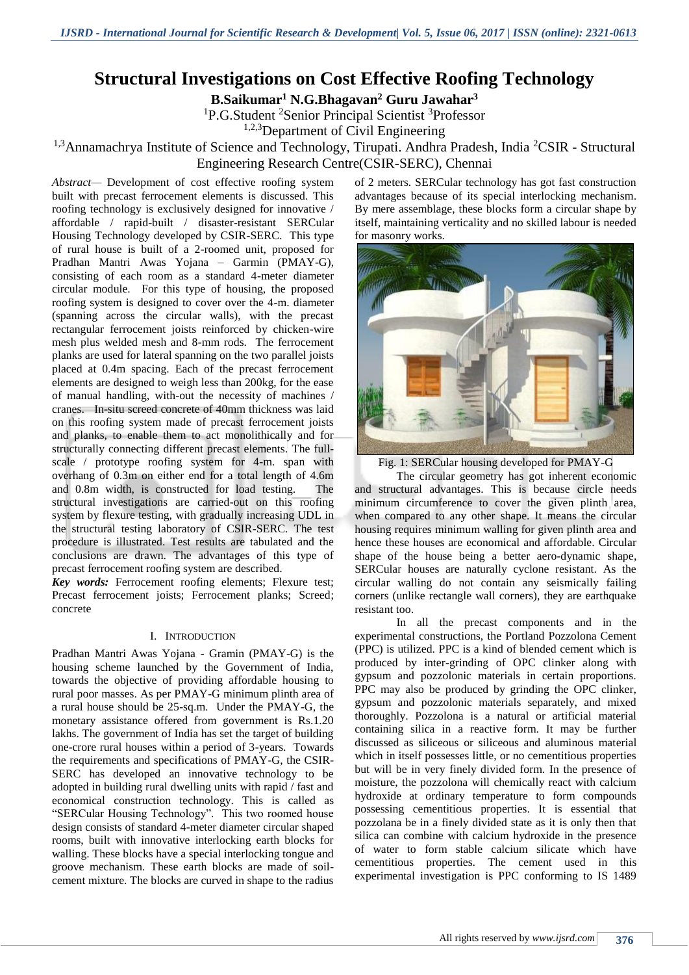# **Structural Investigations on Cost Effective Roofing Technology**

**B.Saikumar<sup>1</sup> N.G.Bhagavan<sup>2</sup> Guru Jawahar<sup>3</sup>**

<sup>1</sup>P.G.Student <sup>2</sup>Senior Principal Scientist <sup>3</sup>Professor

1,2,3Department of Civil Engineering

# <sup>1,3</sup>Annamachrya Institute of Science and Technology, Tirupati. Andhra Pradesh, India <sup>2</sup>CSIR - Structural Engineering Research Centre(CSIR-SERC), Chennai

*Abstract—* Development of cost effective roofing system built with precast ferrocement elements is discussed. This roofing technology is exclusively designed for innovative / affordable / rapid-built / disaster-resistant SERCular Housing Technology developed by CSIR-SERC. This type of rural house is built of a 2-roomed unit, proposed for Pradhan Mantri Awas Yojana – Garmin (PMAY-G), consisting of each room as a standard 4-meter diameter circular module. For this type of housing, the proposed roofing system is designed to cover over the 4-m. diameter (spanning across the circular walls), with the precast rectangular ferrocement joists reinforced by chicken-wire mesh plus welded mesh and 8-mm rods. The ferrocement planks are used for lateral spanning on the two parallel joists placed at 0.4m spacing. Each of the precast ferrocement elements are designed to weigh less than 200kg, for the ease of manual handling, with-out the necessity of machines / cranes. In-situ screed concrete of 40mm thickness was laid on this roofing system made of precast ferrocement joists and planks, to enable them to act monolithically and for structurally connecting different precast elements. The fullscale / prototype roofing system for 4-m. span with overhang of 0.3m on either end for a total length of 4.6m and 0.8m width, is constructed for load testing. The structural investigations are carried-out on this roofing system by flexure testing, with gradually increasing UDL in the structural testing laboratory of CSIR-SERC. The test procedure is illustrated. Test results are tabulated and the conclusions are drawn. The advantages of this type of precast ferrocement roofing system are described.

*Key words:* Ferrocement roofing elements; Flexure test; Precast ferrocement joists; Ferrocement planks; Screed; concrete

# I. INTRODUCTION

Pradhan Mantri Awas Yojana - Gramin (PMAY-G) is the housing scheme launched by the Government of India, towards the objective of providing affordable housing to rural poor masses. As per PMAY-G minimum plinth area of a rural house should be 25-sq.m. Under the PMAY-G, the monetary assistance offered from government is Rs.1.20 lakhs. The government of India has set the target of building one-crore rural houses within a period of 3-years. Towards the requirements and specifications of PMAY-G, the CSIR-SERC has developed an innovative technology to be adopted in building rural dwelling units with rapid / fast and economical construction technology. This is called as "SERCular Housing Technology". This two roomed house design consists of standard 4-meter diameter circular shaped rooms, built with innovative interlocking earth blocks for walling. These blocks have a special interlocking tongue and groove mechanism. These earth blocks are made of soilcement mixture. The blocks are curved in shape to the radius

of 2 meters. SERCular technology has got fast construction advantages because of its special interlocking mechanism. By mere assemblage, these blocks form a circular shape by itself, maintaining verticality and no skilled labour is needed for masonry works.





The circular geometry has got inherent economic and structural advantages. This is because circle needs minimum circumference to cover the given plinth area, when compared to any other shape. It means the circular housing requires minimum walling for given plinth area and hence these houses are economical and affordable. Circular shape of the house being a better aero-dynamic shape, SERCular houses are naturally cyclone resistant. As the circular walling do not contain any seismically failing corners (unlike rectangle wall corners), they are earthquake resistant too.

In all the precast components and in the experimental constructions, the Portland Pozzolona Cement (PPC) is utilized. PPC is a kind of blended cement which is produced by inter-grinding of OPC clinker along with gypsum and pozzolonic materials in certain proportions. PPC may also be produced by grinding the OPC clinker, gypsum and pozzolonic materials separately, and mixed thoroughly. Pozzolona is a natural or artificial material containing silica in a reactive form. It may be further discussed as siliceous or siliceous and aluminous material which in itself possesses little, or no cementitious properties but will be in very finely divided form. In the presence of moisture, the pozzolona will chemically react with calcium hydroxide at ordinary temperature to form compounds possessing cementitious properties. It is essential that pozzolana be in a finely divided state as it is only then that silica can combine with calcium hydroxide in the presence of water to form stable calcium silicate which have cementitious properties. The cement used in this experimental investigation is PPC conforming to IS 1489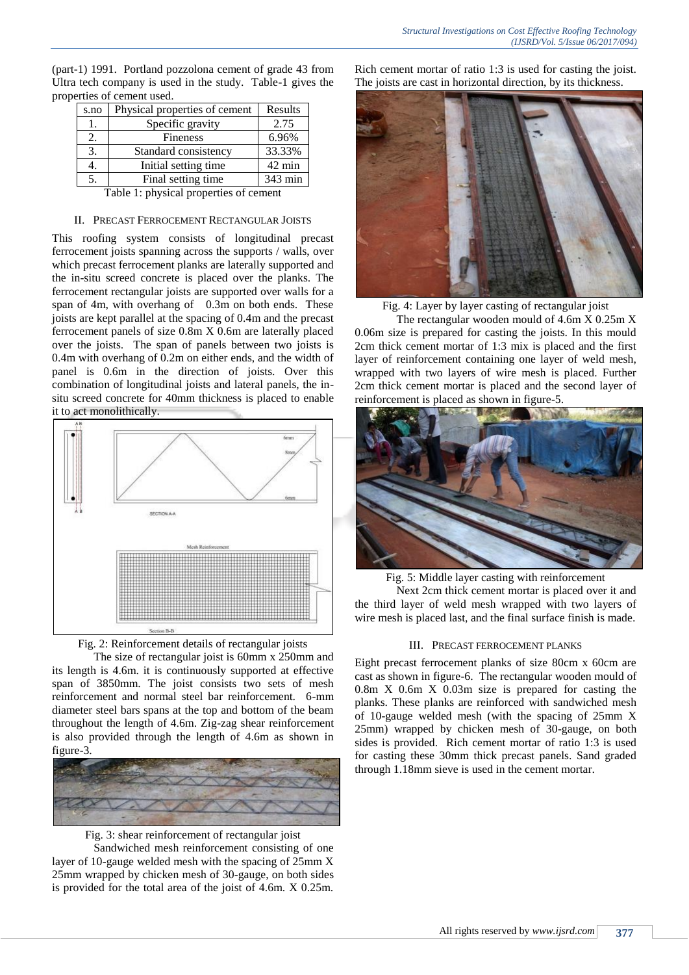| s.no | Physical properties of cement | Results          |
|------|-------------------------------|------------------|
| 1.   | Specific gravity              | 2.75             |
| 2.   | Fineness                      | 6.96%            |
| 3.   | Standard consistency          | 33.33%           |
|      | Initial setting time.         | $42 \text{ min}$ |
| 5.   | Final setting time            | 343 min          |

(part-1) 1991. Portland pozzolona cement of grade 43 from Ultra tech company is used in the study. Table-1 gives the properties of cement used.

Table 1: physical properties of cement

#### II. PRECAST FERROCEMENT RECTANGULAR JOISTS

This roofing system consists of longitudinal precast ferrocement joists spanning across the supports / walls, over which precast ferrocement planks are laterally supported and the in-situ screed concrete is placed over the planks. The ferrocement rectangular joists are supported over walls for a span of 4m, with overhang of 0.3m on both ends. These joists are kept parallel at the spacing of 0.4m and the precast ferrocement panels of size 0.8m X 0.6m are laterally placed over the joists. The span of panels between two joists is 0.4m with overhang of 0.2m on either ends, and the width of panel is 0.6m in the direction of joists. Over this combination of longitudinal joists and lateral panels, the insitu screed concrete for 40mm thickness is placed to enable it to act monolithically.





The size of rectangular joist is 60mm x 250mm and its length is 4.6m. it is continuously supported at effective span of 3850mm. The joist consists two sets of mesh reinforcement and normal steel bar reinforcement. 6-mm diameter steel bars spans at the top and bottom of the beam throughout the length of 4.6m. Zig-zag shear reinforcement is also provided through the length of 4.6m as shown in figure-3.



Fig. 3: shear reinforcement of rectangular joist

Sandwiched mesh reinforcement consisting of one layer of 10-gauge welded mesh with the spacing of 25mm X 25mm wrapped by chicken mesh of 30-gauge, on both sides is provided for the total area of the joist of 4.6m. X 0.25m. Rich cement mortar of ratio 1:3 is used for casting the joist. The joists are cast in horizontal direction, by its thickness.



Fig. 4: Layer by layer casting of rectangular joist

The rectangular wooden mould of 4.6m X 0.25m X 0.06m size is prepared for casting the joists. In this mould 2cm thick cement mortar of 1:3 mix is placed and the first layer of reinforcement containing one layer of weld mesh, wrapped with two layers of wire mesh is placed. Further 2cm thick cement mortar is placed and the second layer of reinforcement is placed as shown in figure-5.



Fig. 5: Middle layer casting with reinforcement

Next 2cm thick cement mortar is placed over it and the third layer of weld mesh wrapped with two layers of wire mesh is placed last, and the final surface finish is made.

#### III. PRECAST FERROCEMENT PLANKS

Eight precast ferrocement planks of size 80cm x 60cm are cast as shown in figure-6. The rectangular wooden mould of 0.8m X 0.6m X 0.03m size is prepared for casting the planks. These planks are reinforced with sandwiched mesh of 10-gauge welded mesh (with the spacing of 25mm X 25mm) wrapped by chicken mesh of 30-gauge, on both sides is provided. Rich cement mortar of ratio 1:3 is used for casting these 30mm thick precast panels. Sand graded through 1.18mm sieve is used in the cement mortar.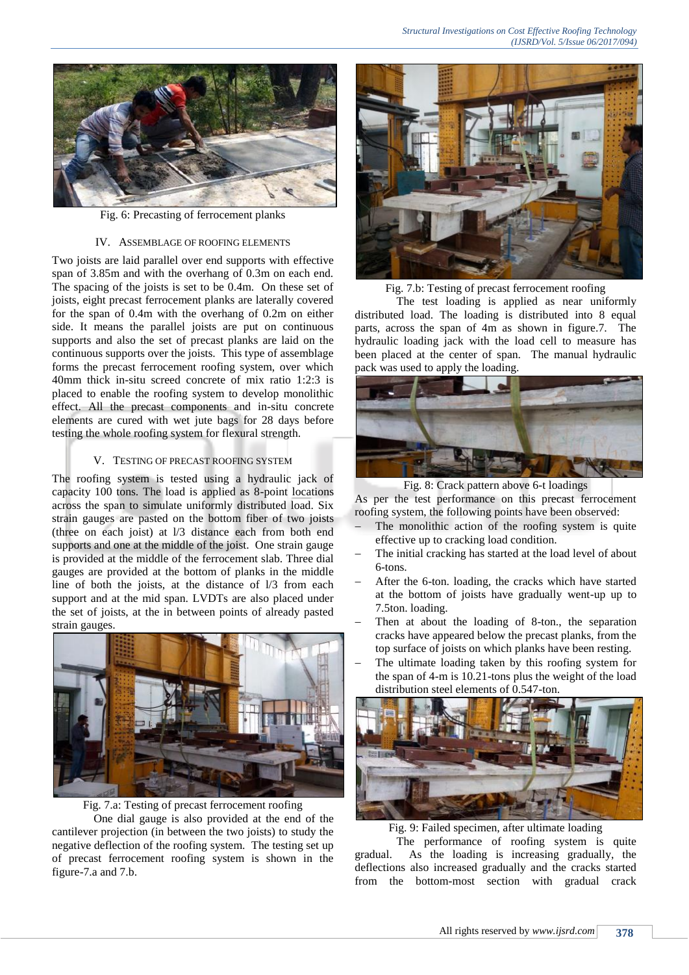

Fig. 6: Precasting of ferrocement planks

#### IV. ASSEMBLAGE OF ROOFING ELEMENTS

Two joists are laid parallel over end supports with effective span of 3.85m and with the overhang of 0.3m on each end. The spacing of the joists is set to be 0.4m. On these set of joists, eight precast ferrocement planks are laterally covered for the span of 0.4m with the overhang of 0.2m on either side. It means the parallel joists are put on continuous supports and also the set of precast planks are laid on the continuous supports over the joists. This type of assemblage forms the precast ferrocement roofing system, over which 40mm thick in-situ screed concrete of mix ratio 1:2:3 is placed to enable the roofing system to develop monolithic effect. All the precast components and in-situ concrete elements are cured with wet jute bags for 28 days before testing the whole roofing system for flexural strength.

### V. TESTING OF PRECAST ROOFING SYSTEM

The roofing system is tested using a hydraulic jack of capacity 100 tons. The load is applied as 8-point locations across the span to simulate uniformly distributed load. Six strain gauges are pasted on the bottom fiber of two joists (three on each joist) at l/3 distance each from both end supports and one at the middle of the joist. One strain gauge is provided at the middle of the ferrocement slab. Three dial gauges are provided at the bottom of planks in the middle line of both the joists, at the distance of l/3 from each support and at the mid span. LVDTs are also placed under the set of joists, at the in between points of already pasted strain gauges.





One dial gauge is also provided at the end of the cantilever projection (in between the two joists) to study the negative deflection of the roofing system. The testing set up of precast ferrocement roofing system is shown in the figure-7.a and 7.b.



Fig. 7.b: Testing of precast ferrocement roofing

The test loading is applied as near uniformly distributed load. The loading is distributed into 8 equal parts, across the span of 4m as shown in figure.7. The hydraulic loading jack with the load cell to measure has been placed at the center of span. The manual hydraulic pack was used to apply the loading.



Fig. 8: Crack pattern above 6-t loadings

As per the test performance on this precast ferrocement roofing system, the following points have been observed:

- The monolithic action of the roofing system is quite effective up to cracking load condition.
- The initial cracking has started at the load level of about 6-tons.
- After the 6-ton. loading, the cracks which have started at the bottom of joists have gradually went-up up to 7.5ton. loading.
- Then at about the loading of 8-ton., the separation cracks have appeared below the precast planks, from the top surface of joists on which planks have been resting.
- The ultimate loading taken by this roofing system for the span of 4-m is 10.21-tons plus the weight of the load distribution steel elements of 0.547-ton.



Fig. 9: Failed specimen, after ultimate loading

The performance of roofing system is quite gradual. As the loading is increasing gradually, the deflections also increased gradually and the cracks started from the bottom-most section with gradual crack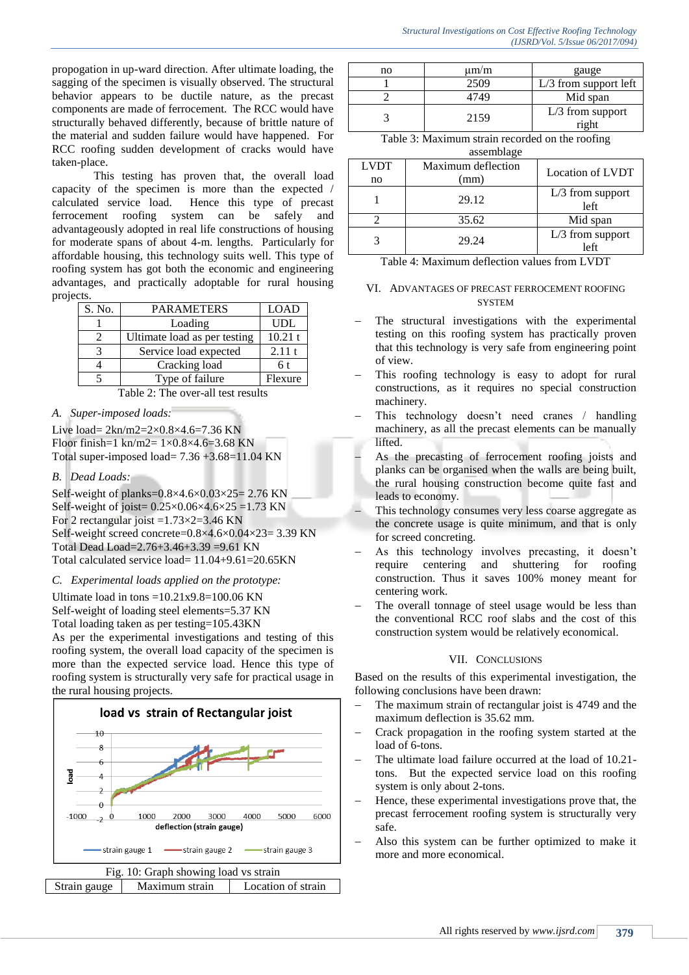propogation in up-ward direction. After ultimate loading, the sagging of the specimen is visually observed. The structural behavior appears to be ductile nature, as the precast components are made of ferrocement. The RCC would have structurally behaved differently, because of brittle nature of the material and sudden failure would have happened. For RCC roofing sudden development of cracks would have taken-place.

This testing has proven that, the overall load capacity of the specimen is more than the expected / calculated service load. Hence this type of precast ferrocement roofing system can be safely and advantageously adopted in real life constructions of housing for moderate spans of about 4-m. lengths. Particularly for affordable housing, this technology suits well. This type of roofing system has got both the economic and engineering advantages, and practically adoptable for rural housing projects.

| S. No. | <b>PARAMETERS</b>            | <b>LOAD</b> |
|--------|------------------------------|-------------|
|        | Loading                      | <b>UDL</b>  |
|        | Ultimate load as per testing | 10.21 t     |
|        | Service load expected        | 2.11t       |
|        | Cracking load                | 6 t         |
|        | Type of failure              | Flexure     |

Table 2: The over-all test results

*A. Super-imposed loads:*

Live load= 2kn/m2=2×0.8×4.6=7.36 KN Floor finish=1 kn/m2=  $1 \times 0.8 \times 4.6 = 3.68$  KN Total super-imposed load=  $7.36 + 3.68 = 11.04$  KN

*B. Dead Loads:*

Self-weight of planks= $0.8\times4.6\times0.03\times25=2.76$  KN Self-weight of joist=  $0.25 \times 0.06 \times 4.6 \times 25 = 1.73$  KN For 2 rectangular joist  $=1.73\times2=3.46$  KN Self-weight screed concrete=0.8×4.6×0.04×23= 3.39 KN Total Dead Load=2.76+3.46+3.39 =9.61 KN Total calculated service load= 11.04+9.61=20.65KN

# *C. Experimental loads applied on the prototype:*

Ultimate load in tons  $=10.21x9.8=100.06$  KN Self-weight of loading steel elements=5.37 KN

Total loading taken as per testing=105.43KN As per the experimental investigations and testing of this roofing system, the overall load capacity of the specimen is more than the expected service load. Hence this type of roofing system is structurally very safe for practical usage in the rural housing projects.



| no | $\mu$ m/m | gauge                   |
|----|-----------|-------------------------|
|    | 2509      | $L/3$ from support left |
|    | 4749      | Mid span                |
|    | 2159      | $L/3$ from support      |
|    |           | right                   |

Table 3: Maximum strain recorded on the roofing

assemblage

| <b>LVDT</b> | Maximum deflection | Location of LVDT           |  |
|-------------|--------------------|----------------------------|--|
| no          | (mm)               |                            |  |
|             | 29.12              | $L/3$ from support<br>left |  |
|             | 35.62              | Mid span                   |  |
|             | 29.24              | $L/3$ from support<br>left |  |

| Table 4: Maximum deflection values from LVDT |  |
|----------------------------------------------|--|
|----------------------------------------------|--|

### VI. ADVANTAGES OF PRECAST FERROCEMENT ROOFING **SYSTEM**

- The structural investigations with the experimental testing on this roofing system has practically proven that this technology is very safe from engineering point of view.
- This roofing technology is easy to adopt for rural constructions, as it requires no special construction machinery.
- This technology doesn't need cranes / handling machinery, as all the precast elements can be manually lifted.
	- As the precasting of ferrocement roofing joists and planks can be organised when the walls are being built, the rural housing construction become quite fast and leads to economy.
- This technology consumes very less coarse aggregate as the concrete usage is quite minimum, and that is only for screed concreting.
- As this technology involves precasting, it doesn't require centering and shuttering for roofing construction. Thus it saves 100% money meant for centering work.
- The overall tonnage of steel usage would be less than the conventional RCC roof slabs and the cost of this construction system would be relatively economical.

# VII. CONCLUSIONS

Based on the results of this experimental investigation, the following conclusions have been drawn:

- The maximum strain of rectangular joist is 4749 and the maximum deflection is 35.62 mm.
- Crack propagation in the roofing system started at the load of 6-tons.
- The ultimate load failure occurred at the load of 10.21 tons. But the expected service load on this roofing system is only about 2-tons.
- Hence, these experimental investigations prove that, the precast ferrocement roofing system is structurally very safe.
- Also this system can be further optimized to make it more and more economical.